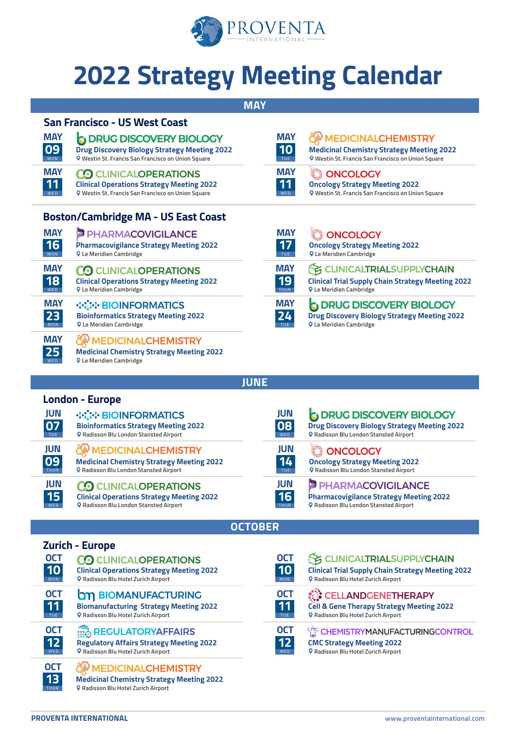

# **2022 Strategy Meeting Calendar**

**MAY**

**MAY 10**

**MAY 11** WED

#### **San Francisco - US West Coast**

| <b>MAY</b> | <b>S DRUG DISCOVERY BIOLOGY</b>                           |
|------------|-----------------------------------------------------------|
| 09         | <b>Drug Discovery Biology Strategy Meeting 2022</b>       |
| <b>MON</b> | <b>Q</b> Westin St. Francis San Francisco on Union Square |
| <b>MAY</b> | <b>CO CLINICALOPERATIONS</b>                              |
| 11         | <b>Clinical Operations Strategy Meeting 2022</b>          |
| <b>WFD</b> | <b>9</b> Westin St. Francis San Francisco on Union Square |

| <b>Clinical Operations Strategy Meeting 2022</b>          |  |
|-----------------------------------------------------------|--|
| <b>Q</b> Westin St. Francis San Francisco on Union Square |  |

#### **Boston/Cambridge MA - US East Coast**

| <b>MAY</b> | <b>PHARMACOVIGILANCE</b>                                                                                        |
|------------|-----------------------------------------------------------------------------------------------------------------|
| 16         | <b>Pharmacovigilance Strategy Meeting 2022</b>                                                                  |
| MON        | <b>Q</b> Le Meridien Cambridge                                                                                  |
| <b>MAY</b> | CO CLINICALOPERATIONS                                                                                           |
| 18         | <b>Clinical Operations Strategy Meeting 2022</b>                                                                |
| WFD        | <b>Q</b> Le Meridien Cambridge                                                                                  |
| <b>MAY</b> | <b>WIN-BIOINFORMATICS</b>                                                                                       |
| 23         | <b>Bioinformatics Strategy Meeting 2022</b>                                                                     |
| MON        | <b>Q</b> Le Meridien Cambridge                                                                                  |
| <b>MAY</b> | <b>IEDICINALCHEMISTRY</b><br><b>Medicinal Chemistry Strategy Meeting 2022</b><br><b>Q</b> Le Meridien Cambridge |

#### **MAY ONCOLOGY 17 [Oncology Strategy Meeting 2022](https://proventainternational.com/events/rd/usa-east/boston/oncology-strategy-meeting-east-coast-usa-2022/) Le Meridien Cambridge MAY PE CLINICALTRIALSUPPLYCHAIN 19 [Clinical Trial Supply Chain Strategy Meeting 2022](https://proventainternational.com/events/clinical/usa-east/boston/clinical-trials-supply-chain-strategy-meeting-east-coast-2022/) Le Meridien Cambridge** THUR **MAY G DRUG DISCOVERY BIOLOGY [Drug Discovery Biology Strategy Meeting 2022](https://proventainternational.com/events/rd/usa-east/boston/biology-strategy-meeting-east-coast-usa-2022/) 24 Le Meridien Cambridge** TUE

**[Oncology Strategy Meeting 2022](https://proventainternational.com/events/rd/usa-west/san-francisco/oncology-strategy-meeting-west-coast-usa-2022/) Westin St. Francis San Francisco on Union Square**

**ONCOLOGY** 

**[Medicinal Chemistry Strategy Meeting 2022](https://proventainternational.com/events/rd/usa-west/san-francisco/medicinal-chemistry-strategy-meeting-west-coast-usa-2022/) Westin St. Francis San Francisco on Union Square**

**MEDICINALCHEMISTRY** 

|  | <b>London - Europe</b> |
|--|------------------------|
|--|------------------------|

**15** WED

**OCT 13** THUR

| JUN         | <b><i><u>Dide BIOINFORMATICS</u></i></b>         |
|-------------|--------------------------------------------------|
| 07          | <b>Bioinformatics Strategy Meeting 2022</b>      |
| <b>TUE</b>  | <b>Q</b> Radisson Blu London Stansted Airport    |
| JUN         | <b>EXAMPLE MEDICINALCHEMISTRY</b>                |
| 09          | <b>Medicinal Chemistry Strategy Meeting 2022</b> |
| <b>THUR</b> | <b>Q</b> Radisson Blu London Stansted Airport    |
| IUN         | <b>CLINICAL ODED ATIONIC</b>                     |

**CO CLINICALOPERATIONS [Clinical Operations Strategy Meeting 2022](https://proventainternational.com/events/clinical/europe/london/clinical-operations-strategy-meeting-europe-2022/) Radisson Blu London Stansted Airport**

| JUN<br>Е<br>WED |  |
|-----------------|--|
| JUN             |  |
| TUE             |  |

**DRUG DISCOVERY BIOLOGY [Drug Discovery Biology Strategy Meeting 2022](https://proventainternational.com/events/rd/europe/london/drug-discovery-biology-strategy-meeting-europe-2022/) Radisson Blu London Stansted Airport**

**ONCOLOGY [Oncology Strategy Meeting 2022](https://proventainternational.com/events/rd/europe/london/oncology-strategy-meeting-europe-2022/) Radisson Blu London Stansted Airport**

**PHARMACOVIGILANCE [Pharmacovigilance Strategy Meeting 2022](https://proventainternational.com/events/clinical/europe/london/pharmacovigilance-strategy-meeting-europe-2022/) Radisson Blu London Stansted Airport**

## **Zurich - Europe**

| <b>OCT</b>      | CO CLINICALOPERATIONS                            |
|-----------------|--------------------------------------------------|
| 10              | <b>Clinical Operations Strategy Meeting 2022</b> |
| MON             | <b>Q</b> Radisson Blu Hotel Zurich Airport       |
| <b>OCT</b>      | <b>OM BIOMANUFACTURING</b>                       |
| 11              | <b>Biomanufacturing Strategy Meeting 2022</b>    |
| TUE             | <b>Q</b> Radisson Blu Hotel Zurich Airport       |
| <b>OCT</b>      | REGULATORYAFFAIRS                                |
| 12 <sub>2</sub> | <b>Regulatory Affairs Strategy Meeting 2022</b>  |
| <b>WFD</b>      | <b>Q</b> Radisson Blu Hotel Zurich Airport       |

**[Regulatory Affairs Strategy Meeting 2022](https://proventainternational.com/events/manufacturing/europe/zurich/regulatory-affairs-strategy-meeting-europe/) Radisson Blu Hotel Zurich Airport** 

**ONE MEDICINALCHEMISTRY** 

**[Medicinal Chemistry Strategy Meeting 2022](https://proventainternational.com/events/rd/europe/zurich/medicinal-chemistry-strategy-meeting-zurich-2022) Radisson Blu Hotel Zurich Airport** 

| <b>MON</b> |
|------------|
|            |

**OCTOBER**

**JUNE**

**JUN 16** THUR

#### **CE CLINICALTRIALSUPPLYCHAIN**

**[Clinical Trial Supply Chain Strategy Meeting 2022](https://proventainternational.com/events/clinical/europe/zurich/clinical-trial-supply-chain-strategy-meeting-zurich-2022) Radisson Blu Hotel Zurich Airport** 



#### ं : CELLANDGENETHERAPY **[Cell & Gene Therapy Strategy Meeting 2022](https://proventainternational.com/events/manufacturing/europe/zurich/cell-gene-therapy-strategy-meeting-europe-2022/) Radisson Blu Hotel Zurich Airport**



CHEMISTRYMANUFACTURINGCONTROL **[CMC Strategy Meeting 2022](https://proventainternational.com/events/manufacturing/europe/zurich/chemistry-manufacturing-and-controls-strategy-meeting-zurich-2022/)**

**Radisson Blu Hotel Zurich Airport**